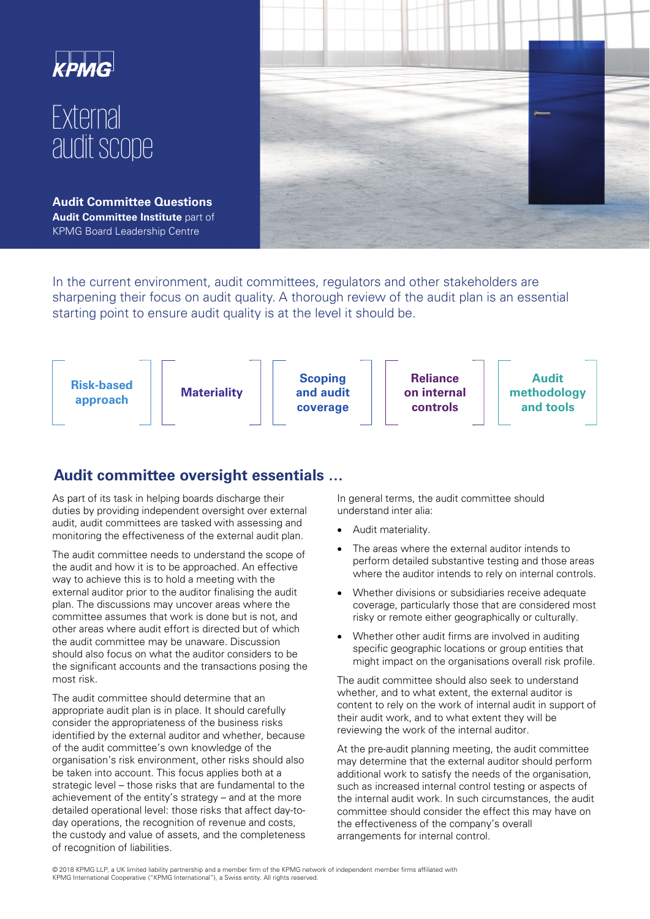

In the current environment, audit committees, regulators and other stakeholders are sharpening their focus on audit quality. A thorough review of the audit plan is an essential starting point to ensure audit quality is at the level it should be.



## **Audit committee oversight essentials …**

As part of its task in helping boards discharge their duties by providing independent oversight over external audit, audit committees are tasked with assessing and monitoring the effectiveness of the external audit plan.

The audit committee needs to understand the scope of the audit and how it is to be approached. An effective way to achieve this is to hold a meeting with the external auditor prior to the auditor finalising the audit plan. The discussions may uncover areas where the committee assumes that work is done but is not, and other areas where audit effort is directed but of which the audit committee may be unaware. Discussion should also focus on what the auditor considers to be the significant accounts and the transactions posing the most risk.

The audit committee should determine that an appropriate audit plan is in place. It should carefully consider the appropriateness of the business risks identified by the external auditor and whether, because of the audit committee's own knowledge of the organisation's risk environment, other risks should also be taken into account. This focus applies both at a strategic level – those risks that are fundamental to the achievement of the entity's strategy – and at the more detailed operational level: those risks that affect day-today operations, the recognition of revenue and costs, the custody and value of assets, and the completeness of recognition of liabilities.

In general terms, the audit committee should understand inter alia:

- Audit materiality.
- The areas where the external auditor intends to perform detailed substantive testing and those areas where the auditor intends to rely on internal controls.
- Whether divisions or subsidiaries receive adequate coverage, particularly those that are considered most risky or remote either geographically or culturally.
- Whether other audit firms are involved in auditing specific geographic locations or group entities that might impact on the organisations overall risk profile.

The audit committee should also seek to understand whether, and to what extent, the external auditor is content to rely on the work of internal audit in support of their audit work, and to what extent they will be reviewing the work of the internal auditor.

At the pre-audit planning meeting, the audit committee may determine that the external auditor should perform additional work to satisfy the needs of the organisation, such as increased internal control testing or aspects of the internal audit work. In such circumstances, the audit committee should consider the effect this may have on the effectiveness of the company's overall arrangements for internal control.

 © 2018 KPMG LLP, a UK limited liability partnership and a member firm of the KPMG network of independent member firms affiliated with KPMG International Cooperative ("KPMG International"), a Swiss entity. All rights reserved.